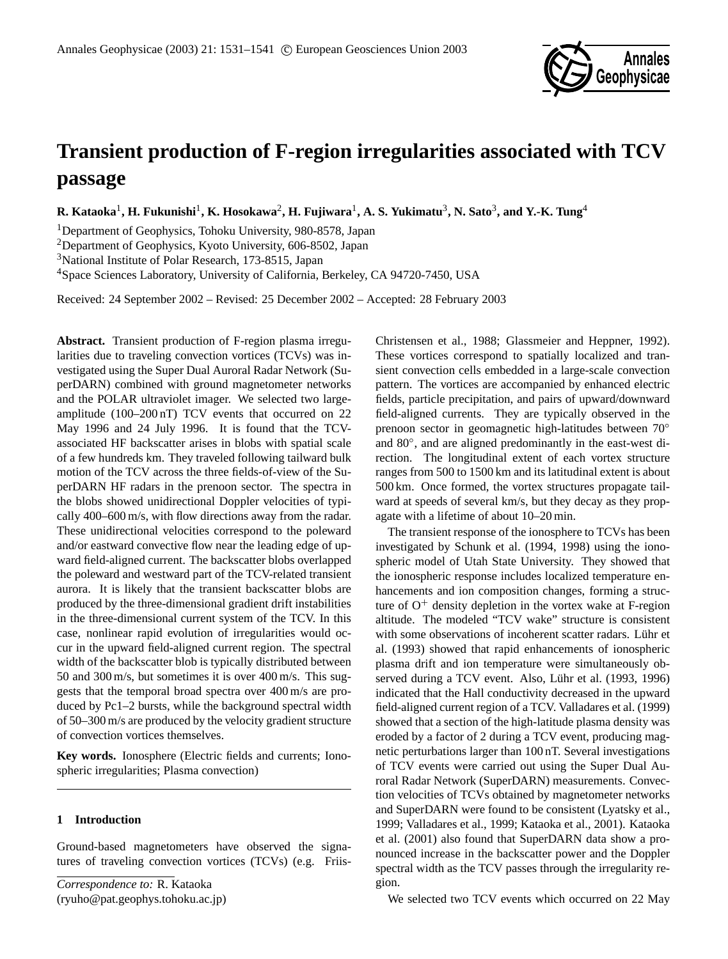

# **Transient production of F-region irregularities associated with TCV passage**

**R. Kataoka**<sup>1</sup> **, H. Fukunishi**<sup>1</sup> **, K. Hosokawa**<sup>2</sup> **, H. Fujiwara**<sup>1</sup> **, A. S. Yukimatu**<sup>3</sup> **, N. Sato**<sup>3</sup> **, and Y.-K. Tung**<sup>4</sup>

<sup>1</sup>Department of Geophysics, Tohoku University, 980-8578, Japan

<sup>2</sup>Department of Geophysics, Kyoto University, 606-8502, Japan

<sup>3</sup>National Institute of Polar Research, 173-8515, Japan

<sup>4</sup>Space Sciences Laboratory, University of California, Berkeley, CA 94720-7450, USA

Received: 24 September 2002 – Revised: 25 December 2002 – Accepted: 28 February 2003

**Abstract.** Transient production of F-region plasma irregularities due to traveling convection vortices (TCVs) was investigated using the Super Dual Auroral Radar Network (SuperDARN) combined with ground magnetometer networks and the POLAR ultraviolet imager. We selected two largeamplitude (100–200 nT) TCV events that occurred on 22 May 1996 and 24 July 1996. It is found that the TCVassociated HF backscatter arises in blobs with spatial scale of a few hundreds km. They traveled following tailward bulk motion of the TCV across the three fields-of-view of the SuperDARN HF radars in the prenoon sector. The spectra in the blobs showed unidirectional Doppler velocities of typically 400–600 m/s, with flow directions away from the radar. These unidirectional velocities correspond to the poleward and/or eastward convective flow near the leading edge of upward field-aligned current. The backscatter blobs overlapped the poleward and westward part of the TCV-related transient aurora. It is likely that the transient backscatter blobs are produced by the three-dimensional gradient drift instabilities in the three-dimensional current system of the TCV. In this case, nonlinear rapid evolution of irregularities would occur in the upward field-aligned current region. The spectral width of the backscatter blob is typically distributed between 50 and 300 m/s, but sometimes it is over 400 m/s. This suggests that the temporal broad spectra over 400 m/s are produced by Pc1–2 bursts, while the background spectral width of 50–300 m/s are produced by the velocity gradient structure of convection vortices themselves.

**Key words.** Ionosphere (Electric fields and currents; Ionospheric irregularities; Plasma convection)

# **1 Introduction**

Ground-based magnetometers have observed the signatures of traveling convection vortices (TCVs) (e.g. Friis-

*Correspondence to:* R. Kataoka (ryuho@pat.geophys.tohoku.ac.jp) Christensen et al., 1988; Glassmeier and Heppner, 1992). These vortices correspond to spatially localized and transient convection cells embedded in a large-scale convection pattern. The vortices are accompanied by enhanced electric fields, particle precipitation, and pairs of upward/downward field-aligned currents. They are typically observed in the prenoon sector in geomagnetic high-latitudes between 70◦ and 80°, and are aligned predominantly in the east-west direction. The longitudinal extent of each vortex structure ranges from 500 to 1500 km and its latitudinal extent is about 500 km. Once formed, the vortex structures propagate tailward at speeds of several km/s, but they decay as they propagate with a lifetime of about 10–20 min.

The transient response of the ionosphere to TCVs has been investigated by Schunk et al. (1994, 1998) using the ionospheric model of Utah State University. They showed that the ionospheric response includes localized temperature enhancements and ion composition changes, forming a structure of  $O^+$  density depletion in the vortex wake at F-region altitude. The modeled "TCV wake" structure is consistent with some observations of incoherent scatter radars. Lühr et al. (1993) showed that rapid enhancements of ionospheric plasma drift and ion temperature were simultaneously observed during a TCV event. Also, Lühr et al. (1993, 1996) indicated that the Hall conductivity decreased in the upward field-aligned current region of a TCV. Valladares et al. (1999) showed that a section of the high-latitude plasma density was eroded by a factor of 2 during a TCV event, producing magnetic perturbations larger than 100 nT. Several investigations of TCV events were carried out using the Super Dual Auroral Radar Network (SuperDARN) measurements. Convection velocities of TCVs obtained by magnetometer networks and SuperDARN were found to be consistent (Lyatsky et al., 1999; Valladares et al., 1999; Kataoka et al., 2001). Kataoka et al. (2001) also found that SuperDARN data show a pronounced increase in the backscatter power and the Doppler spectral width as the TCV passes through the irregularity region.

We selected two TCV events which occurred on 22 May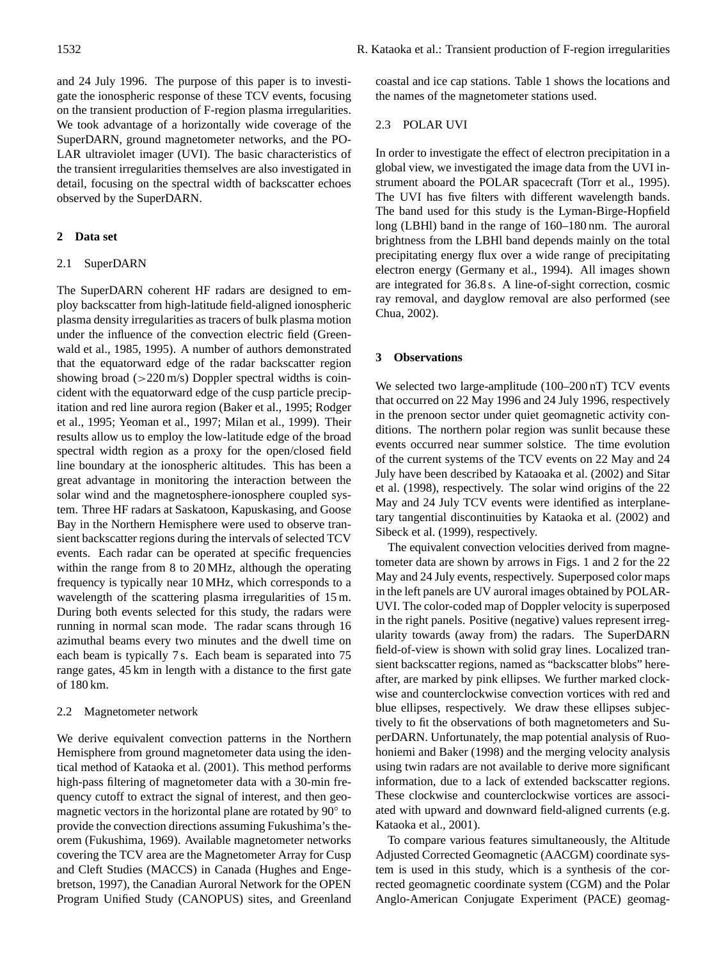and 24 July 1996. The purpose of this paper is to investigate the ionospheric response of these TCV events, focusing on the transient production of F-region plasma irregularities. We took advantage of a horizontally wide coverage of the SuperDARN, ground magnetometer networks, and the PO-LAR ultraviolet imager (UVI). The basic characteristics of the transient irregularities themselves are also investigated in detail, focusing on the spectral width of backscatter echoes observed by the SuperDARN.

# **2 Data set**

# 2.1 SuperDARN

The SuperDARN coherent HF radars are designed to employ backscatter from high-latitude field-aligned ionospheric plasma density irregularities as tracers of bulk plasma motion under the influence of the convection electric field (Greenwald et al., 1985, 1995). A number of authors demonstrated that the equatorward edge of the radar backscatter region showing broad  $(>220 \text{ m/s})$  Doppler spectral widths is coincident with the equatorward edge of the cusp particle precipitation and red line aurora region (Baker et al., 1995; Rodger et al., 1995; Yeoman et al., 1997; Milan et al., 1999). Their results allow us to employ the low-latitude edge of the broad spectral width region as a proxy for the open/closed field line boundary at the ionospheric altitudes. This has been a great advantage in monitoring the interaction between the solar wind and the magnetosphere-ionosphere coupled system. Three HF radars at Saskatoon, Kapuskasing, and Goose Bay in the Northern Hemisphere were used to observe transient backscatter regions during the intervals of selected TCV events. Each radar can be operated at specific frequencies within the range from 8 to 20 MHz, although the operating frequency is typically near 10 MHz, which corresponds to a wavelength of the scattering plasma irregularities of 15 m. During both events selected for this study, the radars were running in normal scan mode. The radar scans through 16 azimuthal beams every two minutes and the dwell time on each beam is typically 7 s. Each beam is separated into 75 range gates, 45 km in length with a distance to the first gate of 180 km.

#### 2.2 Magnetometer network

We derive equivalent convection patterns in the Northern Hemisphere from ground magnetometer data using the identical method of Kataoka et al. (2001). This method performs high-pass filtering of magnetometer data with a 30-min frequency cutoff to extract the signal of interest, and then geomagnetic vectors in the horizontal plane are rotated by 90° to provide the convection directions assuming Fukushima's theorem (Fukushima, 1969). Available magnetometer networks covering the TCV area are the Magnetometer Array for Cusp and Cleft Studies (MACCS) in Canada (Hughes and Engebretson, 1997), the Canadian Auroral Network for the OPEN Program Unified Study (CANOPUS) sites, and Greenland coastal and ice cap stations. Table 1 shows the locations and the names of the magnetometer stations used.

# 2.3 POLAR UVI

In order to investigate the effect of electron precipitation in a global view, we investigated the image data from the UVI instrument aboard the POLAR spacecraft (Torr et al., 1995). The UVI has five filters with different wavelength bands. The band used for this study is the Lyman-Birge-Hopfield long (LBHl) band in the range of 160–180 nm. The auroral brightness from the LBHl band depends mainly on the total precipitating energy flux over a wide range of precipitating electron energy (Germany et al., 1994). All images shown are integrated for 36.8 s. A line-of-sight correction, cosmic ray removal, and dayglow removal are also performed (see Chua, 2002).

# **3 Observations**

We selected two large-amplitude (100–200 nT) TCV events that occurred on 22 May 1996 and 24 July 1996, respectively in the prenoon sector under quiet geomagnetic activity conditions. The northern polar region was sunlit because these events occurred near summer solstice. The time evolution of the current systems of the TCV events on 22 May and 24 July have been described by Kataoaka et al. (2002) and Sitar et al. (1998), respectively. The solar wind origins of the 22 May and 24 July TCV events were identified as interplanetary tangential discontinuities by Kataoka et al. (2002) and Sibeck et al. (1999), respectively.

The equivalent convection velocities derived from magnetometer data are shown by arrows in Figs. 1 and 2 for the 22 May and 24 July events, respectively. Superposed color maps in the left panels are UV auroral images obtained by POLAR-UVI. The color-coded map of Doppler velocity is superposed in the right panels. Positive (negative) values represent irregularity towards (away from) the radars. The SuperDARN field-of-view is shown with solid gray lines. Localized transient backscatter regions, named as "backscatter blobs" hereafter, are marked by pink ellipses. We further marked clockwise and counterclockwise convection vortices with red and blue ellipses, respectively. We draw these ellipses subjectively to fit the observations of both magnetometers and SuperDARN. Unfortunately, the map potential analysis of Ruohoniemi and Baker (1998) and the merging velocity analysis using twin radars are not available to derive more significant information, due to a lack of extended backscatter regions. These clockwise and counterclockwise vortices are associated with upward and downward field-aligned currents (e.g. Kataoka et al., 2001).

To compare various features simultaneously, the Altitude Adjusted Corrected Geomagnetic (AACGM) coordinate system is used in this study, which is a synthesis of the corrected geomagnetic coordinate system (CGM) and the Polar Anglo-American Conjugate Experiment (PACE) geomag-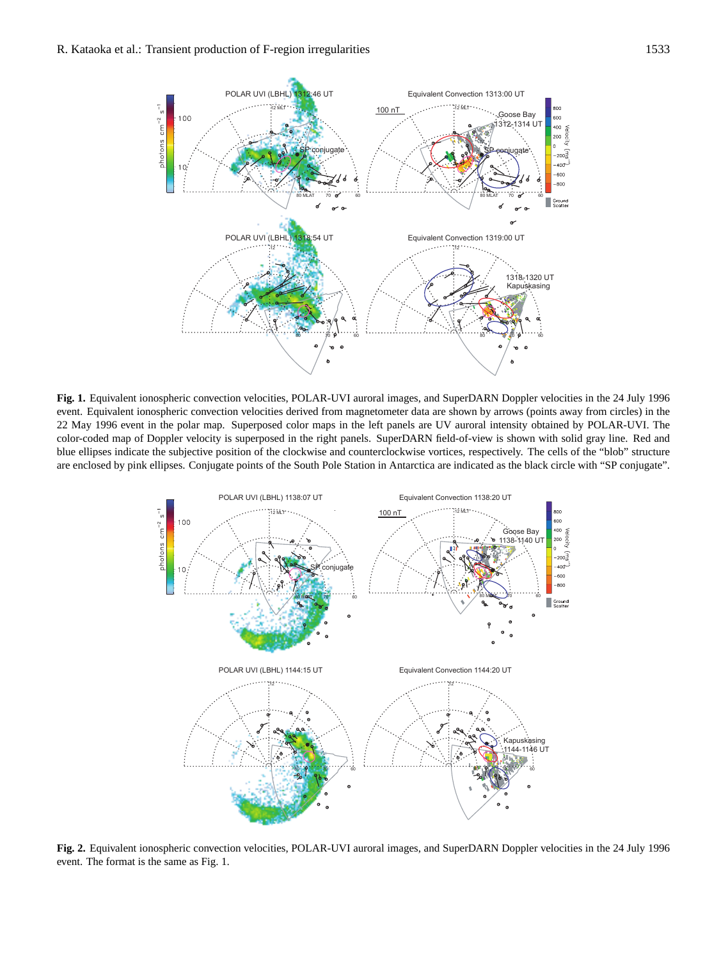

**Fig. 1.** Equivalent ionospheric convection velocities, POLAR-UVI auroral images, and SuperDARN Doppler velocities in the 24 July 1996 event. Equivalent ionospheric convection velocities derived from magnetometer data are shown by arrows (points away from circles) in the 22 May 1996 event in the polar map. Superposed color maps in the left panels are UV auroral intensity obtained by POLAR-UVI. The color-coded map of Doppler velocity is superposed in the right panels. SuperDARN field-of-view is shown with solid gray line. Red and blue ellipses indicate the subjective position of the clockwise and counterclockwise vortices, respectively. The cells of the "blob" structure are enclosed by pink ellipses. Conjugate points of the South Pole Station in Antarctica are indicated as the black circle with "SP conjugate".



**Fig. 2.** Equivalent ionospheric convection velocities, POLAR-UVI auroral images, and SuperDARN Doppler velocities in the 24 July 1996 event. The format is the same as Fig. 1.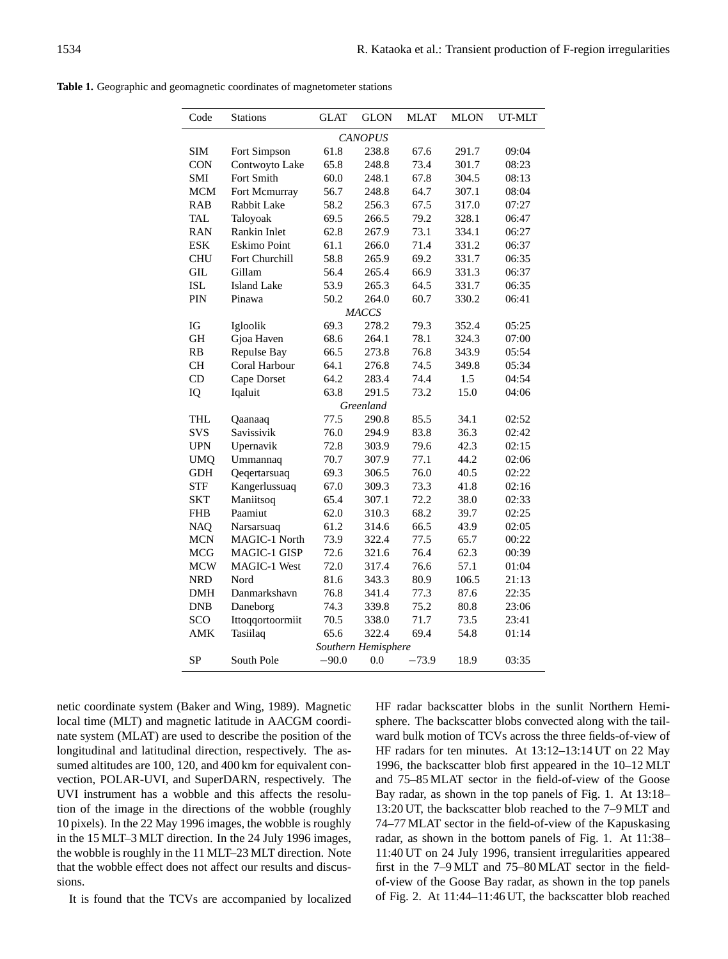| Code                | <b>Stations</b>                | <b>GLAT</b> | <b>GLON</b> | <b>MLAT</b> | <b>MLON</b> | UT-MLT |
|---------------------|--------------------------------|-------------|-------------|-------------|-------------|--------|
| <b>CANOPUS</b>      |                                |             |             |             |             |        |
| SIM                 |                                | 61.8        | 238.8       | 67.6        | 291.7       | 09:04  |
| CON                 | Fort Simpson<br>Contwoyto Lake | 65.8        | 248.8       | 73.4        | 301.7       | 08:23  |
| SMI                 | Fort Smith                     | 60.0        | 248.1       | 67.8        | 304.5       | 08:13  |
| MCM                 | Fort Mcmurray                  | 56.7        | 248.8       | 64.7        | 307.1       | 08:04  |
| RAB                 | Rabbit Lake                    | 58.2        | 256.3       | 67.5        | 317.0       | 07:27  |
| <b>TAL</b>          | Taloyoak                       | 69.5        | 266.5       | 79.2        | 328.1       | 06:47  |
| RAN                 | Rankin Inlet                   | 62.8        | 267.9       | 73.1        | 334.1       | 06:27  |
| <b>ESK</b>          | <b>Eskimo Point</b>            | 61.1        | 266.0       | 71.4        | 331.2       | 06:37  |
| <b>CHU</b>          | Fort Churchill                 | 58.8        | 265.9       | 69.2        | 331.7       | 06:35  |
| GIL                 | Gillam                         | 56.4        | 265.4       | 66.9        | 331.3       | 06:37  |
| ISL                 | <b>Island Lake</b>             | 53.9        | 265.3       | 64.5        | 331.7       | 06:35  |
| <b>PIN</b>          | Pinawa                         | 50.2        | 264.0       | 60.7        | 330.2       | 06:41  |
| <b>MACCS</b>        |                                |             |             |             |             |        |
| IG                  | Igloolik                       | 69.3        | 278.2       | 79.3        | 352.4       | 05:25  |
| GH                  | Gjoa Haven                     | 68.6        | 264.1       | 78.1        | 324.3       | 07:00  |
| RB                  | Repulse Bay                    | 66.5        | 273.8       | 76.8        | 343.9       | 05:54  |
| <b>CH</b>           | Coral Harbour                  | 64.1        | 276.8       | 74.5        | 349.8       | 05:34  |
| CD                  | Cape Dorset                    | 64.2        | 283.4       | 74.4        | 1.5         | 04:54  |
| IQ                  | Iqaluit                        | 63.8        | 291.5       | 73.2        | 15.0        | 04:06  |
| Greenland           |                                |             |             |             |             |        |
| THL                 | Qaanaaq                        | 77.5        | 290.8       | 85.5        | 34.1        | 02:52  |
| SVS                 | Savissivik                     | 76.0        | 294.9       | 83.8        | 36.3        | 02:42  |
| <b>UPN</b>          | Upernavik                      | 72.8        | 303.9       | 79.6        | 42.3        | 02:15  |
| <b>UMQ</b>          | Ummannaq                       | 70.7        | 307.9       | 77.1        | 44.2        | 02:06  |
| <b>GDH</b>          | Qeqertarsuaq                   | 69.3        | 306.5       | 76.0        | 40.5        | 02:22  |
| <b>STF</b>          | Kangerlussuaq                  | 67.0        | 309.3       | 73.3        | 41.8        | 02:16  |
| <b>SKT</b>          | Maniitsoq                      | 65.4        | 307.1       | 72.2        | 38.0        | 02:33  |
| <b>FHB</b>          | Paamiut                        | 62.0        | 310.3       | 68.2        | 39.7        | 02:25  |
| <b>NAQ</b>          | Narsarsuaq                     | 61.2        | 314.6       | 66.5        | 43.9        | 02:05  |
| <b>MCN</b>          | MAGIC-1 North                  | 73.9        | 322.4       | 77.5        | 65.7        | 00:22  |
| MCG                 | MAGIC-1 GISP                   | 72.6        | 321.6       | 76.4        | 62.3        | 00:39  |
| <b>MCW</b>          | MAGIC-1 West                   | 72.0        | 317.4       | 76.6        | 57.1        | 01:04  |
| <b>NRD</b>          | Nord                           | 81.6        | 343.3       | 80.9        | 106.5       | 21:13  |
| <b>DMH</b>          | Danmarkshavn                   | 76.8        | 341.4       | 77.3        | 87.6        | 22:35  |
| <b>DNB</b>          | Daneborg                       | 74.3        | 339.8       | 75.2        | 80.8        | 23:06  |
| SCO                 | Ittoqqortoormiit               | 70.5        | 338.0       | 71.7        | 73.5        | 23:41  |
| AMK                 | Tasiilaq                       | 65.6        | 322.4       | 69.4        | 54.8        | 01:14  |
| Southern Hemisphere |                                |             |             |             |             |        |
| <b>SP</b>           | South Pole                     | $-90.0$     | 0.0         | $-73.9$     | 18.9        | 03:35  |

**Table 1.** Geographic and geomagnetic coordinates of magnetometer stations

netic coordinate system (Baker and Wing, 1989). Magnetic local time (MLT) and magnetic latitude in AACGM coordinate system (MLAT) are used to describe the position of the longitudinal and latitudinal direction, respectively. The assumed altitudes are 100, 120, and 400 km for equivalent convection, POLAR-UVI, and SuperDARN, respectively. The UVI instrument has a wobble and this affects the resolution of the image in the directions of the wobble (roughly 10 pixels). In the 22 May 1996 images, the wobble is roughly in the 15 MLT–3 MLT direction. In the 24 July 1996 images, the wobble is roughly in the 11 MLT–23 MLT direction. Note that the wobble effect does not affect our results and discussions.

It is found that the TCVs are accompanied by localized

HF radar backscatter blobs in the sunlit Northern Hemisphere. The backscatter blobs convected along with the tailward bulk motion of TCVs across the three fields-of-view of HF radars for ten minutes. At 13:12–13:14 UT on 22 May 1996, the backscatter blob first appeared in the 10–12 MLT and 75–85 MLAT sector in the field-of-view of the Goose Bay radar, as shown in the top panels of Fig. 1. At 13:18– 13:20 UT, the backscatter blob reached to the 7–9 MLT and 74–77 MLAT sector in the field-of-view of the Kapuskasing radar, as shown in the bottom panels of Fig. 1. At 11:38– 11:40 UT on 24 July 1996, transient irregularities appeared first in the 7–9 MLT and 75–80 MLAT sector in the fieldof-view of the Goose Bay radar, as shown in the top panels of Fig. 2. At 11:44–11:46 UT, the backscatter blob reached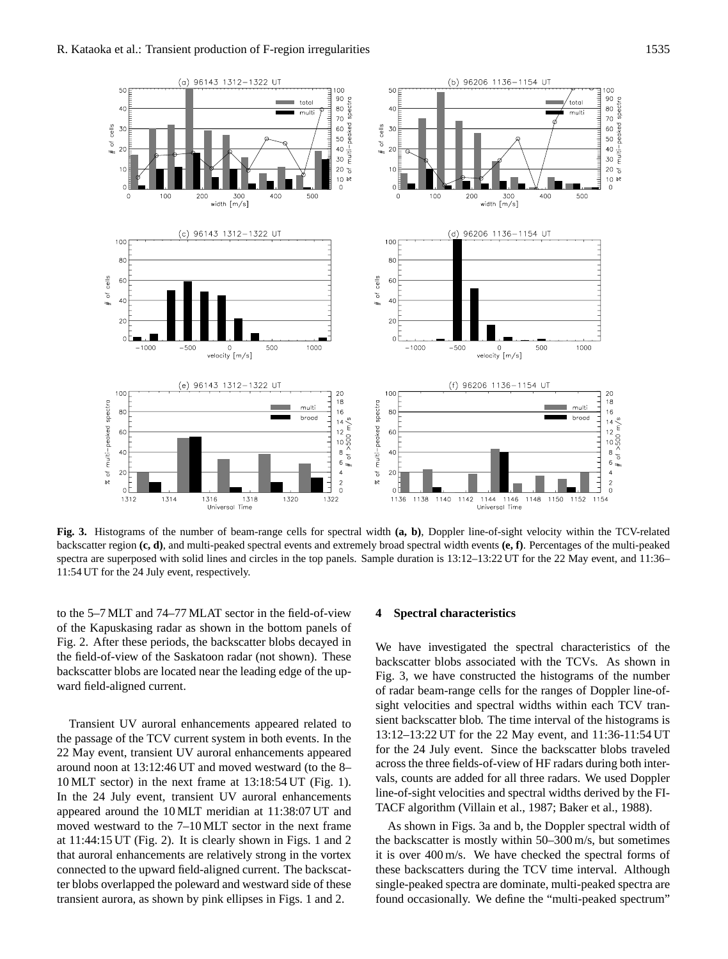

**Fig. 3.** Histograms of the number of beam-range cells for spectral width **(a, b)**, Doppler line-of-sight velocity within the TCV-related backscatter region **(c, d)**, and multi-peaked spectral events and extremely broad spectral width events **(e, f)**. Percentages of the multi-peaked spectra are superposed with solid lines and circles in the top panels. Sample duration is 13:12–13:22 UT for the 22 May event, and 11:36– 11:54 UT for the 24 July event, respectively.

to the 5–7 MLT and 74–77 MLAT sector in the field-of-view of the Kapuskasing radar as shown in the bottom panels of Fig. 2. After these periods, the backscatter blobs decayed in the field-of-view of the Saskatoon radar (not shown). These backscatter blobs are located near the leading edge of the upward field-aligned current.

Transient UV auroral enhancements appeared related to the passage of the TCV current system in both events. In the 22 May event, transient UV auroral enhancements appeared around noon at 13:12:46 UT and moved westward (to the 8– 10 MLT sector) in the next frame at 13:18:54 UT (Fig. 1). In the 24 July event, transient UV auroral enhancements appeared around the 10 MLT meridian at 11:38:07 UT and moved westward to the 7–10 MLT sector in the next frame at 11:44:15 UT (Fig. 2). It is clearly shown in Figs. 1 and 2 that auroral enhancements are relatively strong in the vortex connected to the upward field-aligned current. The backscatter blobs overlapped the poleward and westward side of these transient aurora, as shown by pink ellipses in Figs. 1 and 2.

### **4 Spectral characteristics**

We have investigated the spectral characteristics of the backscatter blobs associated with the TCVs. As shown in Fig. 3, we have constructed the histograms of the number of radar beam-range cells for the ranges of Doppler line-ofsight velocities and spectral widths within each TCV transient backscatter blob. The time interval of the histograms is 13:12–13:22 UT for the 22 May event, and 11:36-11:54 UT for the 24 July event. Since the backscatter blobs traveled across the three fields-of-view of HF radars during both intervals, counts are added for all three radars. We used Doppler line-of-sight velocities and spectral widths derived by the FI-TACF algorithm (Villain et al., 1987; Baker et al., 1988).

As shown in Figs. 3a and b, the Doppler spectral width of the backscatter is mostly within 50–300 m/s, but sometimes it is over 400 m/s. We have checked the spectral forms of these backscatters during the TCV time interval. Although single-peaked spectra are dominate, multi-peaked spectra are found occasionally. We define the "multi-peaked spectrum"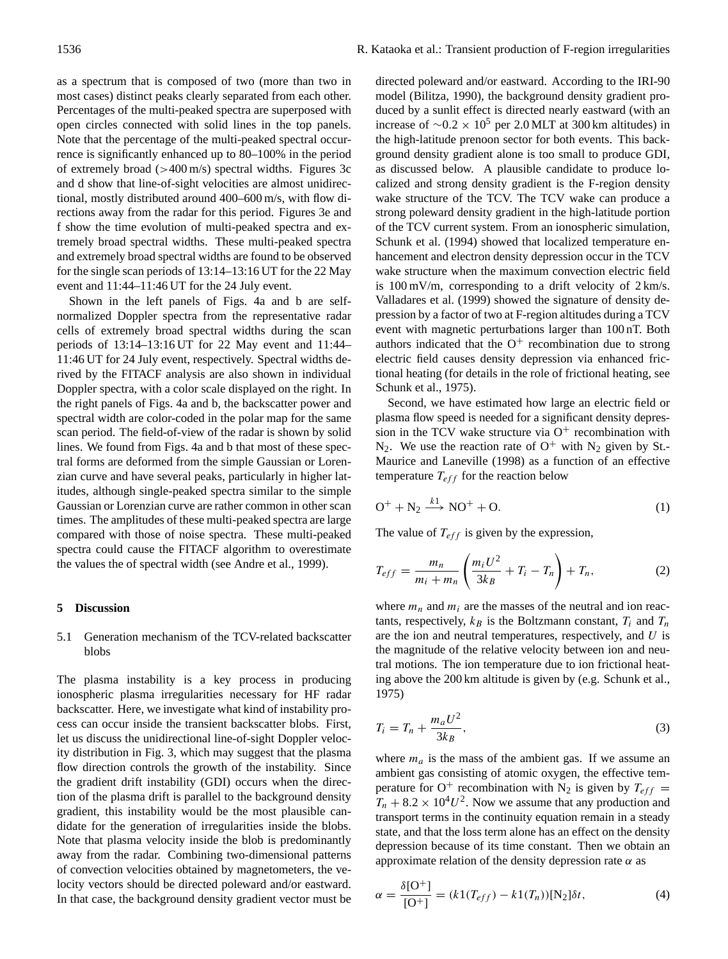as a spectrum that is composed of two (more than two in most cases) distinct peaks clearly separated from each other. Percentages of the multi-peaked spectra are superposed with open circles connected with solid lines in the top panels. Note that the percentage of the multi-peaked spectral occurrence is significantly enhanced up to 80–100% in the period of extremely broad  $(>400 \text{ m/s})$  spectral widths. Figures 3c and d show that line-of-sight velocities are almost unidirectional, mostly distributed around 400–600 m/s, with flow directions away from the radar for this period. Figures 3e and f show the time evolution of multi-peaked spectra and extremely broad spectral widths. These multi-peaked spectra and extremely broad spectral widths are found to be observed for the single scan periods of 13:14–13:16 UT for the 22 May event and 11:44–11:46 UT for the 24 July event.

Shown in the left panels of Figs. 4a and b are selfnormalized Doppler spectra from the representative radar cells of extremely broad spectral widths during the scan periods of 13:14–13:16 UT for 22 May event and 11:44– 11:46 UT for 24 July event, respectively. Spectral widths derived by the FITACF analysis are also shown in individual Doppler spectra, with a color scale displayed on the right. In the right panels of Figs. 4a and b, the backscatter power and spectral width are color-coded in the polar map for the same scan period. The field-of-view of the radar is shown by solid lines. We found from Figs. 4a and b that most of these spectral forms are deformed from the simple Gaussian or Lorenzian curve and have several peaks, particularly in higher latitudes, although single-peaked spectra similar to the simple Gaussian or Lorenzian curve are rather common in other scan times. The amplitudes of these multi-peaked spectra are large compared with those of noise spectra. These multi-peaked spectra could cause the FITACF algorithm to overestimate the values the of spectral width (see Andre et al., 1999).

#### **5 Discussion**

## 5.1 Generation mechanism of the TCV-related backscatter blobs

The plasma instability is a key process in producing ionospheric plasma irregularities necessary for HF radar backscatter. Here, we investigate what kind of instability process can occur inside the transient backscatter blobs. First, let us discuss the unidirectional line-of-sight Doppler velocity distribution in Fig. 3, which may suggest that the plasma flow direction controls the growth of the instability. Since the gradient drift instability (GDI) occurs when the direction of the plasma drift is parallel to the background density gradient, this instability would be the most plausible candidate for the generation of irregularities inside the blobs. Note that plasma velocity inside the blob is predominantly away from the radar. Combining two-dimensional patterns of convection velocities obtained by magnetometers, the velocity vectors should be directed poleward and/or eastward. In that case, the background density gradient vector must be

directed poleward and/or eastward. According to the IRI-90 model (Bilitza, 1990), the background density gradient produced by a sunlit effect is directed nearly eastward (with an increase of  $\sim$ 0.2 × 10<sup>5</sup> per 2.0 MLT at 300 km altitudes) in the high-latitude prenoon sector for both events. This background density gradient alone is too small to produce GDI, as discussed below. A plausible candidate to produce localized and strong density gradient is the F-region density wake structure of the TCV. The TCV wake can produce a strong poleward density gradient in the high-latitude portion of the TCV current system. From an ionospheric simulation, Schunk et al. (1994) showed that localized temperature enhancement and electron density depression occur in the TCV wake structure when the maximum convection electric field is  $100 \text{ mV/m}$ , corresponding to a drift velocity of  $2 \text{ km/s}$ . Valladares et al. (1999) showed the signature of density depression by a factor of two at F-region altitudes during a TCV event with magnetic perturbations larger than 100 nT. Both authors indicated that the  $O^+$  recombination due to strong electric field causes density depression via enhanced frictional heating (for details in the role of frictional heating, see Schunk et al., 1975).

Second, we have estimated how large an electric field or plasma flow speed is needed for a significant density depression in the TCV wake structure via  $O^+$  recombination with  $N_2$ . We use the reaction rate of  $O^+$  with  $N_2$  given by St.-Maurice and Laneville (1998) as a function of an effective temperature  $T_{eff}$  for the reaction below

$$
O^+ + N_2 \xrightarrow{k!} NO^+ + O. \tag{1}
$$

The value of  $T_{eff}$  is given by the expression,

$$
T_{eff} = \frac{m_n}{m_i + m_n} \left( \frac{m_i U^2}{3k_B} + T_i - T_n \right) + T_n,
$$
 (2)

where  $m_n$  and  $m_i$  are the masses of the neutral and ion reactants, respectively,  $k_B$  is the Boltzmann constant,  $T_i$  and  $T_n$ are the ion and neutral temperatures, respectively, and U is the magnitude of the relative velocity between ion and neutral motions. The ion temperature due to ion frictional heating above the 200 km altitude is given by (e.g. Schunk et al., 1975)

$$
T_i = T_n + \frac{m_a U^2}{3k_B},\tag{3}
$$

where  $m_a$  is the mass of the ambient gas. If we assume an ambient gas consisting of atomic oxygen, the effective temperature for O<sup>+</sup> recombination with N<sub>2</sub> is given by  $T_{eff}$  =  $T_n + 8.2 \times 10^4 U^2$ . Now we assume that any production and transport terms in the continuity equation remain in a steady state, and that the loss term alone has an effect on the density depression because of its time constant. Then we obtain an approximate relation of the density depression rate  $\alpha$  as

$$
\alpha = \frac{\delta[O^+]}{[O^+]} = (k1(T_{eff}) - k1(T_n))[N_2]\delta t, \tag{4}
$$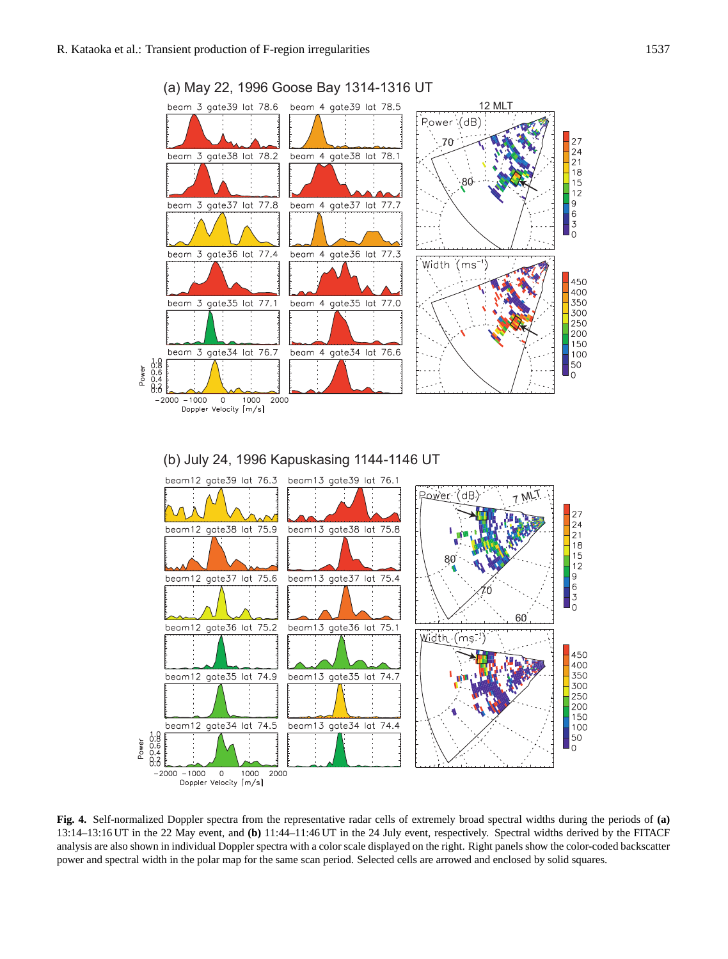

(b) July 24, 1996 Kapuskasing 1144-1146 UT



**Fig. 4.** Self-normalized Doppler spectra from the representative radar cells of extremely broad spectral widths during the periods of **(a)** 13:14–13:16 UT in the 22 May event, and **(b)** 11:44–11:46 UT in the 24 July event, respectively. Spectral widths derived by the FITACF analysis are also shown in individual Doppler spectra with a color scale displayed on the right. Right panels show the color-coded backscatter power and spectral width in the polar map for the same scan period. Selected cells are arrowed and enclosed by solid squares.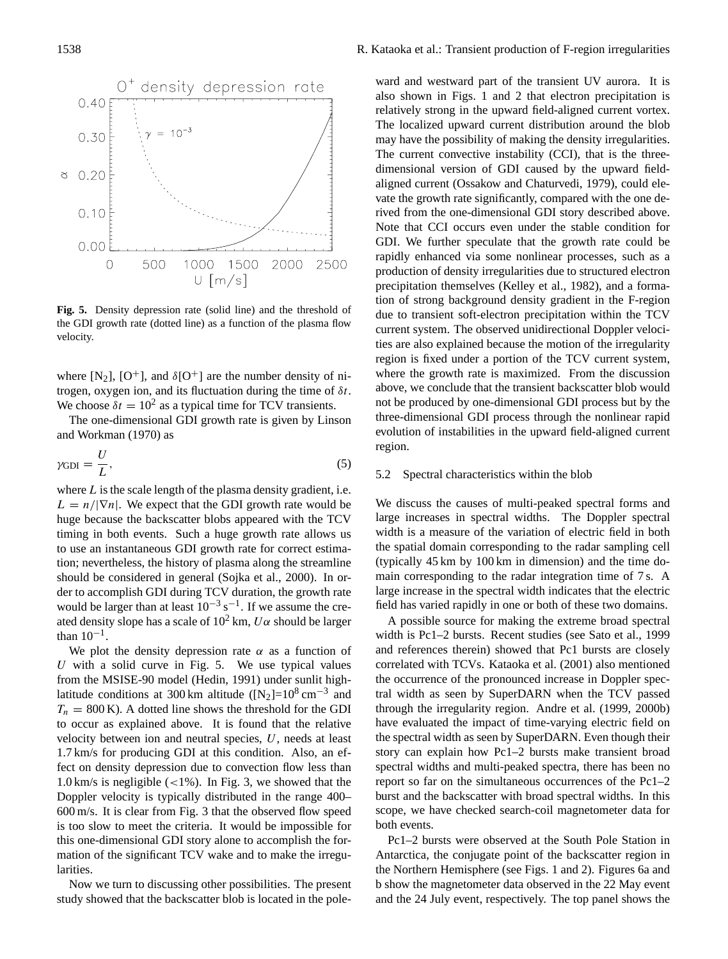

**Fig. 5.** Density depression rate (solid line) and the threshold of the GDI growth rate (dotted line) as a function of the plasma flow velocity.

where [N<sub>2</sub>], [O<sup>+</sup>], and  $\delta$ [O<sup>+</sup>] are the number density of nitrogen, oxygen ion, and its fluctuation during the time of  $\delta t$ . We choose  $\delta t = 10^2$  as a typical time for TCV transients.

The one-dimensional GDI growth rate is given by Linson and Workman (1970) as

$$
\gamma_{\text{GDI}} = \frac{U}{L},\tag{5}
$$

where  $L$  is the scale length of the plasma density gradient, i.e.  $L = n/|\nabla n|$ . We expect that the GDI growth rate would be huge because the backscatter blobs appeared with the TCV timing in both events. Such a huge growth rate allows us to use an instantaneous GDI growth rate for correct estimation; nevertheless, the history of plasma along the streamline should be considered in general (Sojka et al., 2000). In order to accomplish GDI during TCV duration, the growth rate would be larger than at least  $10^{-3}$  s<sup>-1</sup>. If we assume the created density slope has a scale of  $10^2$  km,  $U\alpha$  should be larger than  $10^{-1}$ .

We plot the density depression rate  $\alpha$  as a function of  $U$  with a solid curve in Fig. 5. We use typical values from the MSISE-90 model (Hedin, 1991) under sunlit highlatitude conditions at 300 km altitude ( $[N_2]=10^8$  cm<sup>-3</sup> and  $T_n = 800 \text{ K}$ ). A dotted line shows the threshold for the GDI to occur as explained above. It is found that the relative velocity between ion and neutral species, U, needs at least 1.7 km/s for producing GDI at this condition. Also, an effect on density depression due to convection flow less than 1.0 km/s is negligible  $\left($  < 1%). In Fig. 3, we showed that the Doppler velocity is typically distributed in the range 400– 600 m/s. It is clear from Fig. 3 that the observed flow speed is too slow to meet the criteria. It would be impossible for this one-dimensional GDI story alone to accomplish the formation of the significant TCV wake and to make the irregularities.

Now we turn to discussing other possibilities. The present study showed that the backscatter blob is located in the pole-

ward and westward part of the transient UV aurora. It is also shown in Figs. 1 and 2 that electron precipitation is relatively strong in the upward field-aligned current vortex. The localized upward current distribution around the blob may have the possibility of making the density irregularities. The current convective instability (CCI), that is the threedimensional version of GDI caused by the upward fieldaligned current (Ossakow and Chaturvedi, 1979), could elevate the growth rate significantly, compared with the one derived from the one-dimensional GDI story described above. Note that CCI occurs even under the stable condition for GDI. We further speculate that the growth rate could be rapidly enhanced via some nonlinear processes, such as a production of density irregularities due to structured electron precipitation themselves (Kelley et al., 1982), and a formation of strong background density gradient in the F-region due to transient soft-electron precipitation within the TCV current system. The observed unidirectional Doppler velocities are also explained because the motion of the irregularity region is fixed under a portion of the TCV current system, where the growth rate is maximized. From the discussion above, we conclude that the transient backscatter blob would not be produced by one-dimensional GDI process but by the three-dimensional GDI process through the nonlinear rapid evolution of instabilities in the upward field-aligned current region.

## 5.2 Spectral characteristics within the blob

We discuss the causes of multi-peaked spectral forms and large increases in spectral widths. The Doppler spectral width is a measure of the variation of electric field in both the spatial domain corresponding to the radar sampling cell (typically 45 km by 100 km in dimension) and the time domain corresponding to the radar integration time of 7 s. A large increase in the spectral width indicates that the electric field has varied rapidly in one or both of these two domains.

A possible source for making the extreme broad spectral width is Pc1–2 bursts. Recent studies (see Sato et al., 1999 and references therein) showed that Pc1 bursts are closely correlated with TCVs. Kataoka et al. (2001) also mentioned the occurrence of the pronounced increase in Doppler spectral width as seen by SuperDARN when the TCV passed through the irregularity region. Andre et al. (1999, 2000b) have evaluated the impact of time-varying electric field on the spectral width as seen by SuperDARN. Even though their story can explain how Pc1–2 bursts make transient broad spectral widths and multi-peaked spectra, there has been no report so far on the simultaneous occurrences of the Pc1–2 burst and the backscatter with broad spectral widths. In this scope, we have checked search-coil magnetometer data for both events.

Pc1–2 bursts were observed at the South Pole Station in Antarctica, the conjugate point of the backscatter region in the Northern Hemisphere (see Figs. 1 and 2). Figures 6a and b show the magnetometer data observed in the 22 May event and the 24 July event, respectively. The top panel shows the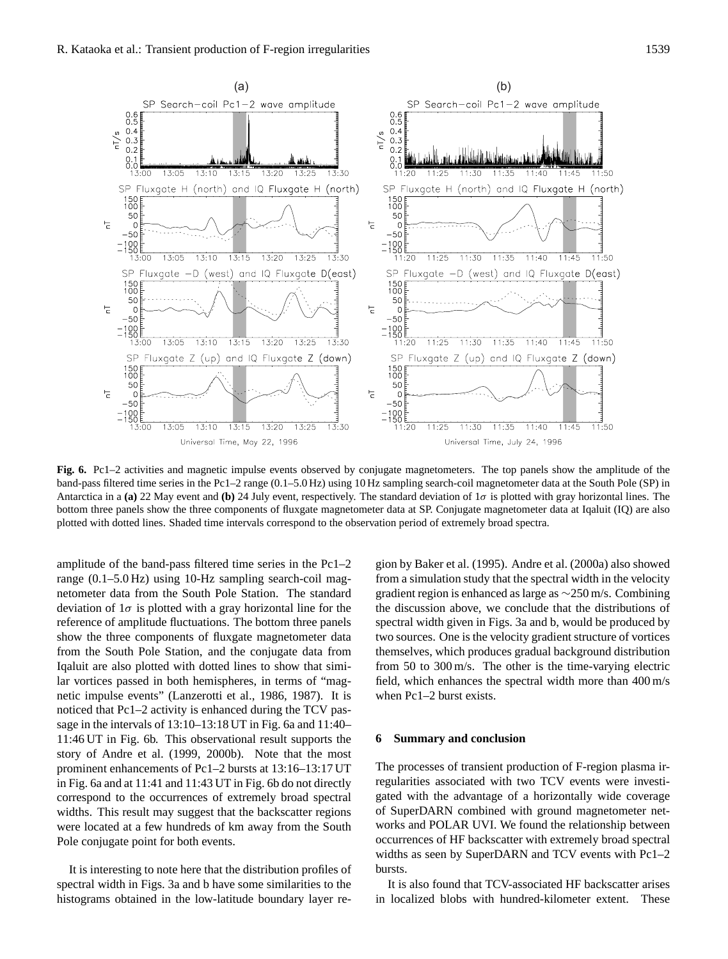

**Fig. 6.** Pc1–2 activities and magnetic impulse events observed by conjugate magnetometers. The top panels show the amplitude of the band-pass filtered time series in the Pc1–2 range (0.1–5.0 Hz) using 10 Hz sampling search-coil magnetometer data at the South Pole (SP) in Antarctica in a **(a)** 22 May event and **(b)** 24 July event, respectively. The standard deviation of  $1\sigma$  is plotted with gray horizontal lines. The bottom three panels show the three components of fluxgate magnetometer data at SP. Conjugate magnetometer data at Iqaluit (IQ) are also plotted with dotted lines. Shaded time intervals correspond to the observation period of extremely broad spectra.

amplitude of the band-pass filtered time series in the Pc1–2 range (0.1–5.0 Hz) using 10-Hz sampling search-coil magnetometer data from the South Pole Station. The standard deviation of  $1\sigma$  is plotted with a gray horizontal line for the reference of amplitude fluctuations. The bottom three panels show the three components of fluxgate magnetometer data from the South Pole Station, and the conjugate data from Iqaluit are also plotted with dotted lines to show that similar vortices passed in both hemispheres, in terms of "magnetic impulse events" (Lanzerotti et al., 1986, 1987). It is noticed that Pc1–2 activity is enhanced during the TCV passage in the intervals of 13:10–13:18 UT in Fig. 6a and 11:40– 11:46 UT in Fig. 6b. This observational result supports the story of Andre et al. (1999, 2000b). Note that the most prominent enhancements of Pc1–2 bursts at 13:16–13:17 UT in Fig. 6a and at 11:41 and 11:43 UT in Fig. 6b do not directly correspond to the occurrences of extremely broad spectral widths. This result may suggest that the backscatter regions were located at a few hundreds of km away from the South Pole conjugate point for both events.

It is interesting to note here that the distribution profiles of spectral width in Figs. 3a and b have some similarities to the histograms obtained in the low-latitude boundary layer re-

gion by Baker et al. (1995). Andre et al. (2000a) also showed from a simulation study that the spectral width in the velocity gradient region is enhanced as large as ∼250 m/s. Combining the discussion above, we conclude that the distributions of spectral width given in Figs. 3a and b, would be produced by two sources. One is the velocity gradient structure of vortices themselves, which produces gradual background distribution from 50 to 300 m/s. The other is the time-varying electric field, which enhances the spectral width more than 400 m/s when Pc1–2 burst exists.

#### **6 Summary and conclusion**

The processes of transient production of F-region plasma irregularities associated with two TCV events were investigated with the advantage of a horizontally wide coverage of SuperDARN combined with ground magnetometer networks and POLAR UVI. We found the relationship between occurrences of HF backscatter with extremely broad spectral widths as seen by SuperDARN and TCV events with Pc1–2 bursts.

It is also found that TCV-associated HF backscatter arises in localized blobs with hundred-kilometer extent. These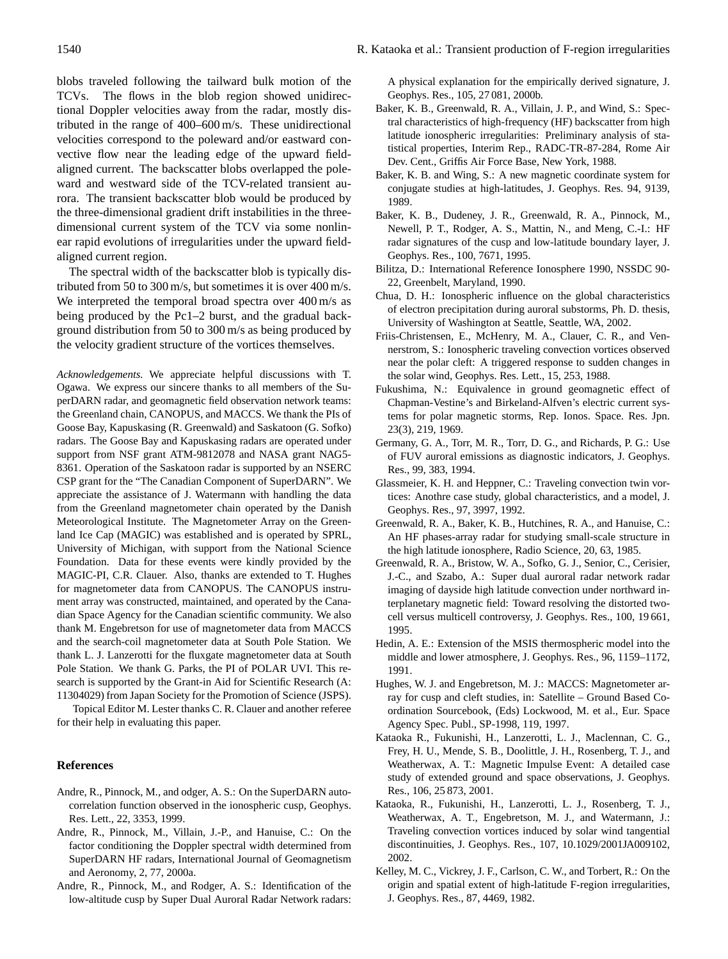blobs traveled following the tailward bulk motion of the TCVs. The flows in the blob region showed unidirectional Doppler velocities away from the radar, mostly distributed in the range of 400–600 m/s. These unidirectional velocities correspond to the poleward and/or eastward convective flow near the leading edge of the upward fieldaligned current. The backscatter blobs overlapped the poleward and westward side of the TCV-related transient aurora. The transient backscatter blob would be produced by the three-dimensional gradient drift instabilities in the threedimensional current system of the TCV via some nonlinear rapid evolutions of irregularities under the upward fieldaligned current region.

The spectral width of the backscatter blob is typically distributed from 50 to 300 m/s, but sometimes it is over 400 m/s. We interpreted the temporal broad spectra over  $400 \text{ m/s}$  as being produced by the Pc1–2 burst, and the gradual background distribution from 50 to 300 m/s as being produced by the velocity gradient structure of the vortices themselves.

*Acknowledgements.* We appreciate helpful discussions with T. Ogawa. We express our sincere thanks to all members of the SuperDARN radar, and geomagnetic field observation network teams: the Greenland chain, CANOPUS, and MACCS. We thank the PIs of Goose Bay, Kapuskasing (R. Greenwald) and Saskatoon (G. Sofko) radars. The Goose Bay and Kapuskasing radars are operated under support from NSF grant ATM-9812078 and NASA grant NAG5- 8361. Operation of the Saskatoon radar is supported by an NSERC CSP grant for the "The Canadian Component of SuperDARN". We appreciate the assistance of J. Watermann with handling the data from the Greenland magnetometer chain operated by the Danish Meteorological Institute. The Magnetometer Array on the Greenland Ice Cap (MAGIC) was established and is operated by SPRL, University of Michigan, with support from the National Science Foundation. Data for these events were kindly provided by the MAGIC-PI, C.R. Clauer. Also, thanks are extended to T. Hughes for magnetometer data from CANOPUS. The CANOPUS instrument array was constructed, maintained, and operated by the Canadian Space Agency for the Canadian scientific community. We also thank M. Engebretson for use of magnetometer data from MACCS and the search-coil magnetometer data at South Pole Station. We thank L. J. Lanzerotti for the fluxgate magnetometer data at South Pole Station. We thank G. Parks, the PI of POLAR UVI. This research is supported by the Grant-in Aid for Scientific Research (A: 11304029) from Japan Society for the Promotion of Science (JSPS).

Topical Editor M. Lester thanks C. R. Clauer and another referee for their help in evaluating this paper.

#### **References**

- Andre, R., Pinnock, M., and odger, A. S.: On the SuperDARN autocorrelation function observed in the ionospheric cusp, Geophys. Res. Lett., 22, 3353, 1999.
- Andre, R., Pinnock, M., Villain, J.-P., and Hanuise, C.: On the factor conditioning the Doppler spectral width determined from SuperDARN HF radars, International Journal of Geomagnetism and Aeronomy, 2, 77, 2000a.
- Andre, R., Pinnock, M., and Rodger, A. S.: Identification of the low-altitude cusp by Super Dual Auroral Radar Network radars:

A physical explanation for the empirically derived signature, J. Geophys. Res., 105, 27 081, 2000b.

- Baker, K. B., Greenwald, R. A., Villain, J. P., and Wind, S.: Spectral characteristics of high-frequency (HF) backscatter from high latitude ionospheric irregularities: Preliminary analysis of statistical properties, Interim Rep., RADC-TR-87-284, Rome Air Dev. Cent., Griffis Air Force Base, New York, 1988.
- Baker, K. B. and Wing, S.: A new magnetic coordinate system for conjugate studies at high-latitudes, J. Geophys. Res. 94, 9139, 1989.
- Baker, K. B., Dudeney, J. R., Greenwald, R. A., Pinnock, M., Newell, P. T., Rodger, A. S., Mattin, N., and Meng, C.-I.: HF radar signatures of the cusp and low-latitude boundary layer, J. Geophys. Res., 100, 7671, 1995.
- Bilitza, D.: International Reference Ionosphere 1990, NSSDC 90- 22, Greenbelt, Maryland, 1990.
- Chua, D. H.: Ionospheric influence on the global characteristics of electron precipitation during auroral substorms, Ph. D. thesis, University of Washington at Seattle, Seattle, WA, 2002.
- Friis-Christensen, E., McHenry, M. A., Clauer, C. R., and Vennerstrom, S.: Ionospheric traveling convection vortices observed near the polar cleft: A triggered response to sudden changes in the solar wind, Geophys. Res. Lett., 15, 253, 1988.
- Fukushima, N.: Equivalence in ground geomagnetic effect of Chapman-Vestine's and Birkeland-Alfven's electric current systems for polar magnetic storms, Rep. Ionos. Space. Res. Jpn. 23(3), 219, 1969.
- Germany, G. A., Torr, M. R., Torr, D. G., and Richards, P. G.: Use of FUV auroral emissions as diagnostic indicators, J. Geophys. Res., 99, 383, 1994.
- Glassmeier, K. H. and Heppner, C.: Traveling convection twin vortices: Anothre case study, global characteristics, and a model, J. Geophys. Res., 97, 3997, 1992.
- Greenwald, R. A., Baker, K. B., Hutchines, R. A., and Hanuise, C.: An HF phases-array radar for studying small-scale structure in the high latitude ionosphere, Radio Science, 20, 63, 1985.
- Greenwald, R. A., Bristow, W. A., Sofko, G. J., Senior, C., Cerisier, J.-C., and Szabo, A.: Super dual auroral radar network radar imaging of dayside high latitude convection under northward interplanetary magnetic field: Toward resolving the distorted twocell versus multicell controversy, J. Geophys. Res., 100, 19 661, 1995.
- Hedin, A. E.: Extension of the MSIS thermospheric model into the middle and lower atmosphere, J. Geophys. Res., 96, 1159–1172, 1991.
- Hughes, W. J. and Engebretson, M. J.: MACCS: Magnetometer array for cusp and cleft studies, in: Satellite – Ground Based Coordination Sourcebook, (Eds) Lockwood, M. et al., Eur. Space Agency Spec. Publ., SP-1998, 119, 1997.
- Kataoka R., Fukunishi, H., Lanzerotti, L. J., Maclennan, C. G., Frey, H. U., Mende, S. B., Doolittle, J. H., Rosenberg, T. J., and Weatherwax, A. T.: Magnetic Impulse Event: A detailed case study of extended ground and space observations, J. Geophys. Res., 106, 25 873, 2001.
- Kataoka, R., Fukunishi, H., Lanzerotti, L. J., Rosenberg, T. J., Weatherwax, A. T., Engebretson, M. J., and Watermann, J.: Traveling convection vortices induced by solar wind tangential discontinuities, J. Geophys. Res., 107, 10.1029/2001JA009102, 2002.
- Kelley, M. C., Vickrey, J. F., Carlson, C. W., and Torbert, R.: On the origin and spatial extent of high-latitude F-region irregularities, J. Geophys. Res., 87, 4469, 1982.